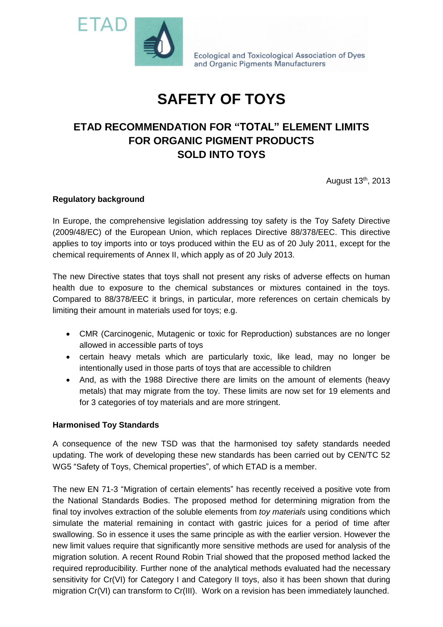

Ecological and Toxicological Association of Dyes and Organic Pigments Manufacturers

# **SAFETY OF TOYS**

## **ETAD RECOMMENDATION FOR "TOTAL" ELEMENT LIMITS FOR ORGANIC PIGMENT PRODUCTS SOLD INTO TOYS**

August 13th, 2013

#### **Regulatory background**

In Europe, the comprehensive legislation addressing toy safety is the Toy Safety Directive (2009/48/EC) of the European Union, which replaces Directive 88/378/EEC. This directive applies to toy imports into or toys produced within the EU as of 20 July 2011, except for the chemical requirements of Annex II, which apply as of 20 July 2013.

The new Directive states that toys shall not present any risks of adverse effects on human health due to exposure to the chemical substances or mixtures contained in the toys. Compared to 88/378/EEC it brings, in particular, more references on certain chemicals by limiting their amount in materials used for toys; e.g.

- CMR (Carcinogenic, Mutagenic or toxic for Reproduction) substances are no longer allowed in accessible parts of toys
- certain heavy metals which are particularly toxic, like lead, may no longer be intentionally used in those parts of toys that are accessible to children
- And, as with the 1988 Directive there are limits on the amount of elements (heavy metals) that may migrate from the toy. These limits are now set for 19 elements and for 3 categories of toy materials and are more stringent.

#### **Harmonised Toy Standards**

A consequence of the new TSD was that the harmonised toy safety standards needed updating. The work of developing these new standards has been carried out by CEN/TC 52 WG5 "Safety of Toys, Chemical properties", of which ETAD is a member.

The new EN 71-3 "Migration of certain elements" has recently received a positive vote from the National Standards Bodies. The proposed method for determining migration from the final toy involves extraction of the soluble elements from *toy materials* using conditions which simulate the material remaining in contact with gastric juices for a period of time after swallowing. So in essence it uses the same principle as with the earlier version. However the new limit values require that significantly more sensitive methods are used for analysis of the migration solution. A recent Round Robin Trial showed that the proposed method lacked the required reproducibility. Further none of the analytical methods evaluated had the necessary sensitivity for Cr(VI) for Category I and Category II toys, also it has been shown that during migration Cr(VI) can transform to Cr(III). Work on a revision has been immediately launched.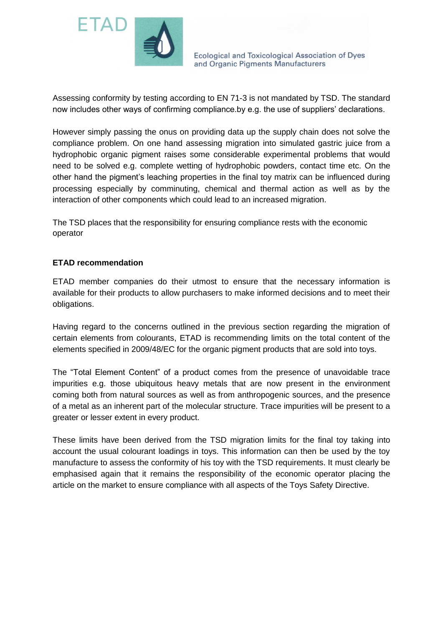

Ecological and Toxicological Association of Dyes and Organic Pigments Manufacturers

Assessing conformity by testing according to EN 71-3 is not mandated by TSD. The standard now includes other ways of confirming compliance.by e.g. the use of suppliers' declarations.

However simply passing the onus on providing data up the supply chain does not solve the compliance problem. On one hand assessing migration into simulated gastric juice from a hydrophobic organic pigment raises some considerable experimental problems that would need to be solved e.g. complete wetting of hydrophobic powders, contact time etc. On the other hand the pigment's leaching properties in the final toy matrix can be influenced during processing especially by comminuting, chemical and thermal action as well as by the interaction of other components which could lead to an increased migration.

The TSD places that the responsibility for ensuring compliance rests with the economic operator

#### **ETAD recommendation**

ETAD member companies do their utmost to ensure that the necessary information is available for their products to allow purchasers to make informed decisions and to meet their obligations.

Having regard to the concerns outlined in the previous section regarding the migration of certain elements from colourants, ETAD is recommending limits on the total content of the elements specified in 2009/48/EC for the organic pigment products that are sold into toys.

The "Total Element Content" of a product comes from the presence of unavoidable trace impurities e.g. those ubiquitous heavy metals that are now present in the environment coming both from natural sources as well as from anthropogenic sources, and the presence of a metal as an inherent part of the molecular structure. Trace impurities will be present to a greater or lesser extent in every product.

These limits have been derived from the TSD migration limits for the final toy taking into account the usual colourant loadings in toys. This information can then be used by the toy manufacture to assess the conformity of his toy with the TSD requirements. It must clearly be emphasised again that it remains the responsibility of the economic operator placing the article on the market to ensure compliance with all aspects of the Toys Safety Directive.